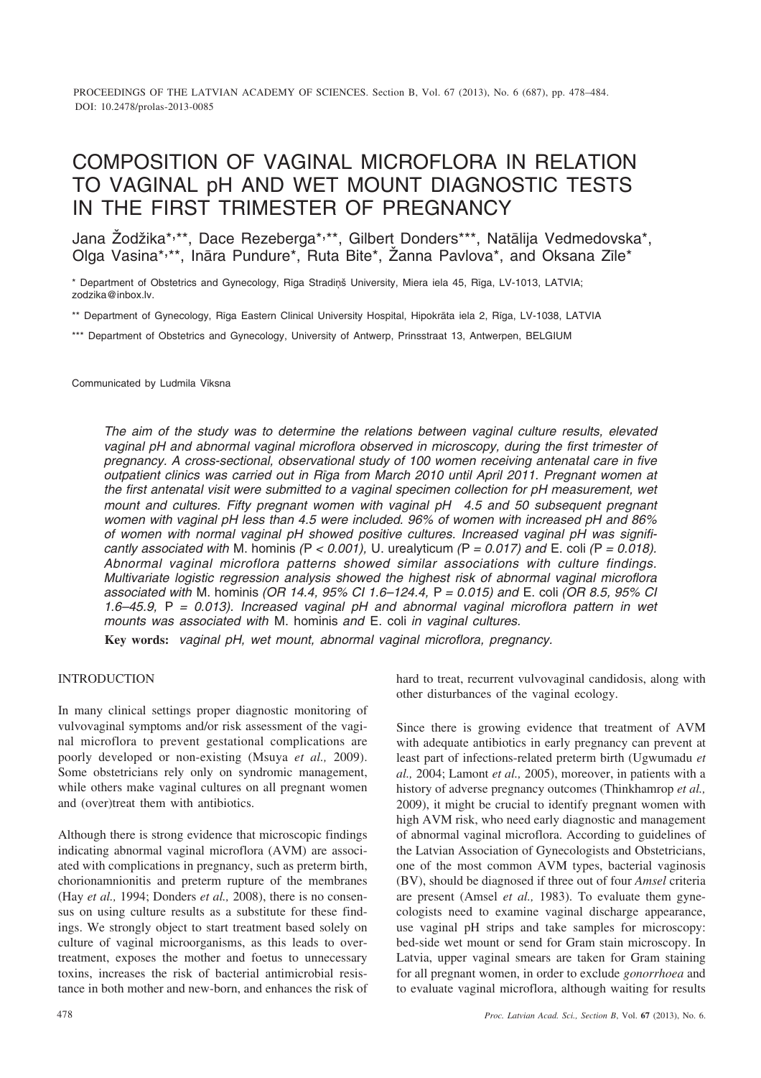PROCEEDINGS OF THE LATVIAN ACADEMY OF SCIENCES. Section B, Vol. 67 (2013), No. 6 (687), pp. 478–484. DOI: 10.2478/prolas-2013-0085

# COMPOSITION OF VAGINAL MICROFLORA IN RELATION TO VAGINAL pH AND WET MOUNT DIAGNOSTIC TESTS IN THE FIRST TRIMESTER OF PREGNANCY

Jana Žodžika\*,\*\*, Dace Rezeberga\*,\*\*, Gilbert Donders\*\*\*, Natālija Vedmedovska\*, Olga Vasina\*,\*\*, Ināra Pundure\*, Ruta Bite\*, Žanna Pavlova\*, and Oksana Zīle\*

\* Department of Obstetrics and Gynecology, Rīga Stradiņš University, Miera iela 45, Rīga, LV-1013, LATVIA; zodzika@inbox.lv.

\*\* Department of Gynecology, Rîga Eastern Clinical University Hospital, Hipokrâta iela 2, Rîga, LV-1038, LATVIA

\*\*\* Department of Obstetrics and Gynecology, University of Antwerp, Prinsstraat 13, Antwerpen, BELGIUM

Communicated by Ludmila Vîksna

*The aim of the study was to determine the relations between vaginal culture results, elevated vaginal pH and abnormal vaginal microflora observed in microscopy, during the first trimester of pregnancy. A cross-sectional, observational study of 100 women receiving antenatal care in five outpatient clinics was carried out in Rîga from March 2010 until April 2011. Pregnant women at the first antenatal visit were submitted to a vaginal specimen collection for pH measurement, wet mount and cultures. Fifty pregnant women with vaginal pH 4.5 and 50 subsequent pregnant women with vaginal pH less than 4.5 were included. 96% of women with increased pH and 86% of women with normal vaginal pH showed positive cultures. Increased vaginal pH was significantly associated with* M. hominis  $(P < 0.001)$ , U. urealyticum  $(P = 0.017)$  and E. coli  $(P = 0.018)$ . *Abnormal vaginal microflora patterns showed similar associations with culture findings. Multivariate logistic regression analysis showed the highest risk of abnormal vaginal microflora associated with* M. hominis *(OR 14.4, 95% CI 1.6–124.4,* P *= 0.015) and* E. coli *(OR 8.5, 95% CI 1.6–45.9,* P *= 0.013). Increased vaginal pH and abnormal vaginal microflora pattern in wet mounts was associated with* M. hominis *and* E. coli *in vaginal cultures.*

**Key words:** *vaginal pH, wet mount, abnormal vaginal microflora, pregnancy.*

## INTRODUCTION

In many clinical settings proper diagnostic monitoring of vulvovaginal symptoms and/or risk assessment of the vaginal microflora to prevent gestational complications are poorly developed or non-existing (Msuya *et al.,* 2009). Some obstetricians rely only on syndromic management, while others make vaginal cultures on all pregnant women and (over)treat them with antibiotics.

Although there is strong evidence that microscopic findings indicating abnormal vaginal microflora (AVM) are associated with complications in pregnancy, such as preterm birth, chorionamnionitis and preterm rupture of the membranes (Hay *et al.,* 1994; Donders *et al.,* 2008), there is no consensus on using culture results as a substitute for these findings. We strongly object to start treatment based solely on culture of vaginal microorganisms, as this leads to overtreatment, exposes the mother and foetus to unnecessary toxins, increases the risk of bacterial antimicrobial resistance in both mother and new-born, and enhances the risk of hard to treat, recurrent vulvovaginal candidosis, along with other disturbances of the vaginal ecology.

Since there is growing evidence that treatment of AVM with adequate antibiotics in early pregnancy can prevent at least part of infections-related preterm birth (Ugwumadu *et al.,* 2004; Lamont *et al.,* 2005), moreover, in patients with a history of adverse pregnancy outcomes (Thinkhamrop *et al.,* 2009), it might be crucial to identify pregnant women with high AVM risk, who need early diagnostic and management of abnormal vaginal microflora. According to guidelines of the Latvian Association of Gynecologists and Obstetricians, one of the most common AVM types, bacterial vaginosis (BV), should be diagnosed if three out of four *Amsel* criteria are present (Amsel *et al.,* 1983). To evaluate them gynecologists need to examine vaginal discharge appearance, use vaginal pH strips and take samples for microscopy: bed-side wet mount or send for Gram stain microscopy. In Latvia, upper vaginal smears are taken for Gram staining for all pregnant women, in order to exclude *gonorrhoea* and to evaluate vaginal microflora, although waiting for results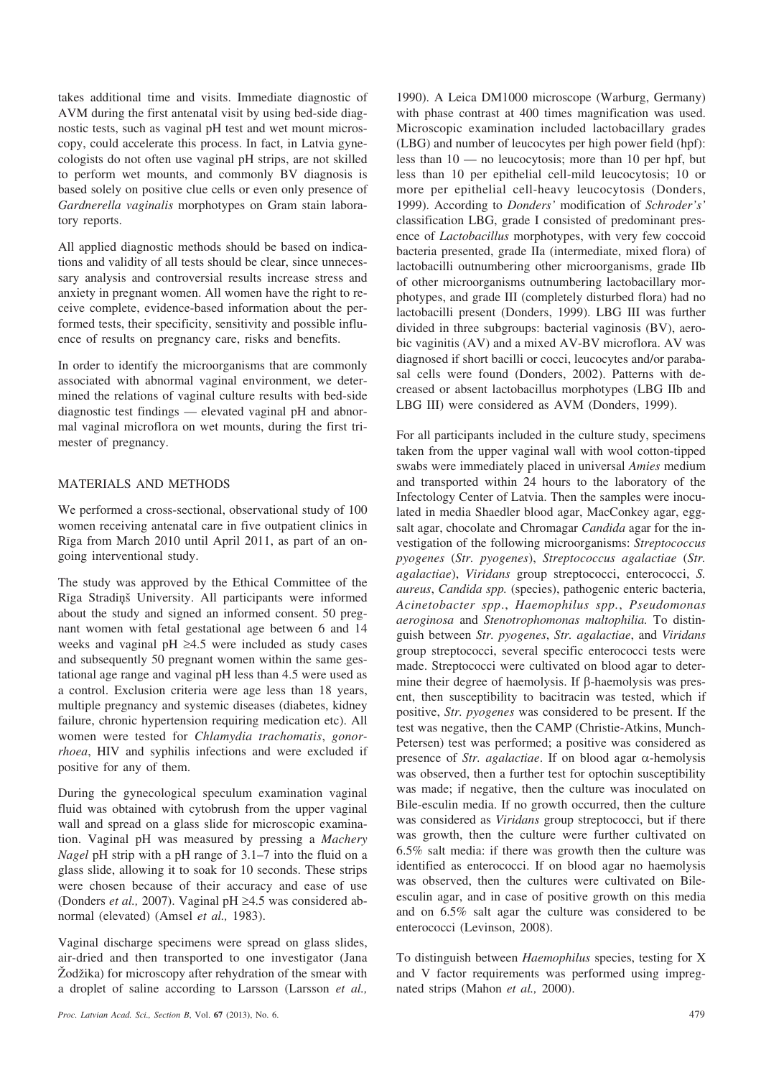takes additional time and visits. Immediate diagnostic of AVM during the first antenatal visit by using bed-side diagnostic tests, such as vaginal pH test and wet mount microscopy, could accelerate this process. In fact, in Latvia gynecologists do not often use vaginal pH strips, are not skilled to perform wet mounts, and commonly BV diagnosis is based solely on positive clue cells or even only presence of *Gardnerella vaginalis* morphotypes on Gram stain laboratory reports.

All applied diagnostic methods should be based on indications and validity of all tests should be clear, since unnecessary analysis and controversial results increase stress and anxiety in pregnant women. All women have the right to receive complete, evidence-based information about the performed tests, their specificity, sensitivity and possible influence of results on pregnancy care, risks and benefits.

In order to identify the microorganisms that are commonly associated with abnormal vaginal environment, we determined the relations of vaginal culture results with bed-side diagnostic test findings — elevated vaginal pH and abnormal vaginal microflora on wet mounts, during the first trimester of pregnancy.

# MATERIALS AND METHODS

We performed a cross-sectional, observational study of 100 women receiving antenatal care in five outpatient clinics in Rîga from March 2010 until April 2011, as part of an ongoing interventional study.

The study was approved by the Ethical Committee of the Rîga Stradiòð University. All participants were informed about the study and signed an informed consent. 50 pregnant women with fetal gestational age between 6 and 14 weeks and vaginal pH  $\geq$ 4.5 were included as study cases and subsequently 50 pregnant women within the same gestational age range and vaginal pH less than 4.5 were used as a control. Exclusion criteria were age less than 18 years, multiple pregnancy and systemic diseases (diabetes, kidney failure, chronic hypertension requiring medication etc). All women were tested for *Chlamydia trachomatis*, *gonorrhoea*, HIV and syphilis infections and were excluded if positive for any of them.

During the gynecological speculum examination vaginal fluid was obtained with cytobrush from the upper vaginal wall and spread on a glass slide for microscopic examination. Vaginal pH was measured by pressing a *Machery Nagel* pH strip with a pH range of 3.1–7 into the fluid on a glass slide, allowing it to soak for 10 seconds. These strips were chosen because of their accuracy and ease of use (Donders *et al.*, 2007). Vaginal pH  $\geq$ 4.5 was considered abnormal (elevated) (Amsel *et al.,* 1983).

Vaginal discharge specimens were spread on glass slides, air-dried and then transported to one investigator (Jana  $Z$ odžika) for microscopy after rehydration of the smear with a droplet of saline according to Larsson (Larsson *et al.,*

*Proc. Latvian Acad. Sci., Section B*, Vol. **67** (2013), No. 6. 479

1990). A Leica DM1000 microscope (Warburg, Germany) with phase contrast at 400 times magnification was used. Microscopic examination included lactobacillary grades (LBG) and number of leucocytes per high power field (hpf): less than 10 — no leucocytosis; more than 10 per hpf, but less than 10 per epithelial cell-mild leucocytosis; 10 or more per epithelial cell-heavy leucocytosis (Donders, 1999). According to *Donders'* modification of *Schroder's'* classification LBG, grade I consisted of predominant presence of *Lactobacillus* morphotypes, with very few coccoid bacteria presented, grade IIa (intermediate, mixed flora) of lactobacilli outnumbering other microorganisms, grade IIb of other microorganisms outnumbering lactobacillary morphotypes, and grade III (completely disturbed flora) had no lactobacilli present (Donders, 1999). LBG III was further divided in three subgroups: bacterial vaginosis (BV), aerobic vaginitis (AV) and a mixed AV-BV microflora. AV was diagnosed if short bacilli or cocci, leucocytes and/or parabasal cells were found (Donders, 2002). Patterns with decreased or absent lactobacillus morphotypes (LBG IIb and LBG III) were considered as AVM (Donders, 1999).

For all participants included in the culture study, specimens taken from the upper vaginal wall with wool cotton-tipped swabs were immediately placed in universal *Amies* medium and transported within 24 hours to the laboratory of the Infectology Center of Latvia. Then the samples were inoculated in media Shaedler blood agar, MacConkey agar, eggsalt agar, chocolate and Chromagar *Candida* agar for the investigation of the following microorganisms: *Streptococcus pyogenes* (*Str. pyogenes*), *Streptococcus agalactiae* (*Str. agalactiae*), *Viridans* group streptococci, enterococci, *S. aureus*, *Candida spp.* (species), pathogenic enteric bacteria, *Acinetobacter spp*., *Haemophilus spp.*, *Pseudomonas aeroginosa* and *Stenotrophomonas maltophilia.* To distinguish between *Str. pyogenes*, *Str. agalactiae*, and *Viridans* group streptococci, several specific enterococci tests were made. Streptococci were cultivated on blood agar to determine their degree of haemolysis. If  $\beta$ -haemolysis was present, then susceptibility to bacitracin was tested, which if positive, *Str. pyogenes* was considered to be present. If the test was negative, then the CAMP (Christie-Atkins, Munch-Petersen) test was performed; a positive was considered as presence of *Str. agalactiae*. If on blood agar  $\alpha$ -hemolysis was observed, then a further test for optochin susceptibility was made; if negative, then the culture was inoculated on Bile-esculin media. If no growth occurred, then the culture was considered as *Viridans* group streptococci, but if there was growth, then the culture were further cultivated on 6.5% salt media: if there was growth then the culture was identified as enterococci. If on blood agar no haemolysis was observed, then the cultures were cultivated on Bileesculin agar, and in case of positive growth on this media and on 6.5% salt agar the culture was considered to be enterococci (Levinson, 2008).

To distinguish between *Haemophilus* species, testing for X and V factor requirements was performed using impregnated strips (Mahon *et al.,* 2000).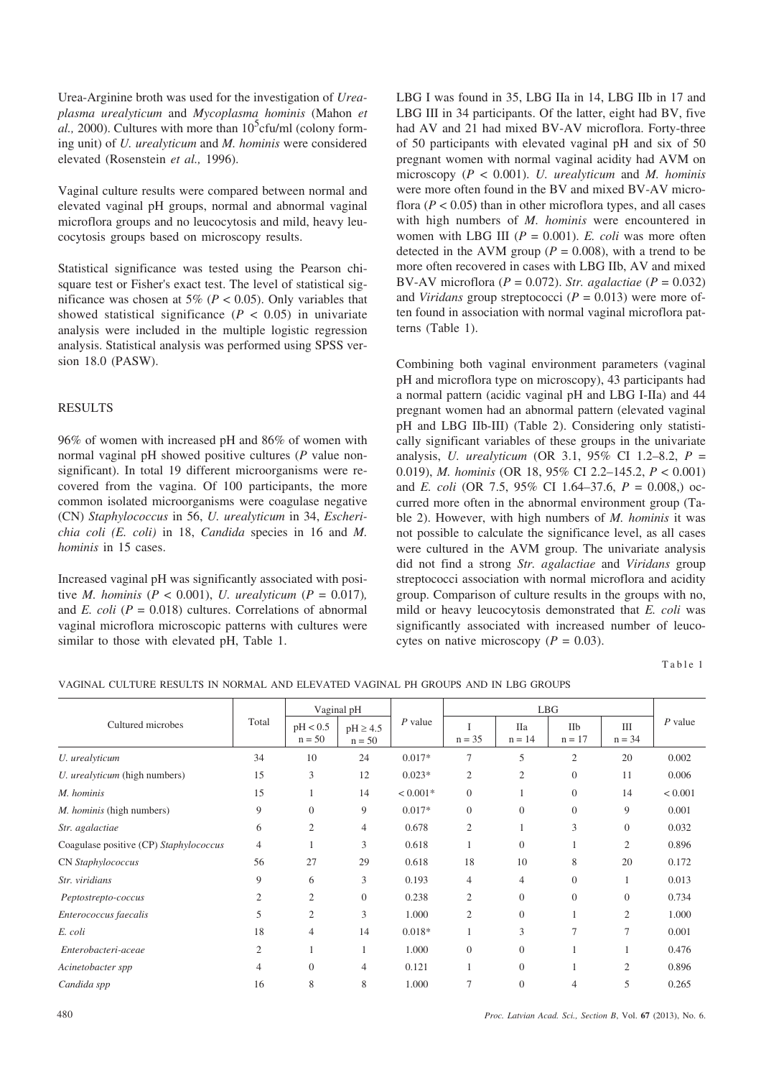Urea-Arginine broth was used for the investigation of *Ureaplasma urealyticum* and *Mycoplasma hominis* (Mahon *et*  $a$ l., 2000). Cultures with more than  $10^5$ cfu/ml (colony forming unit) of *U. urealyticum* and *M. hominis* were considered elevated (Rosenstein *et al.,* 1996).

Vaginal culture results were compared between normal and elevated vaginal pH groups, normal and abnormal vaginal microflora groups and no leucocytosis and mild, heavy leucocytosis groups based on microscopy results.

Statistical significance was tested using the Pearson chisquare test or Fisher's exact test. The level of statistical significance was chosen at 5% ( $P < 0.05$ ). Only variables that showed statistical significance  $(P < 0.05)$  in univariate analysis were included in the multiple logistic regression analysis. Statistical analysis was performed using SPSS version 18.0 (PASW).

## RESULTS

96% of women with increased pH and 86% of women with normal vaginal pH showed positive cultures (*P* value nonsignificant). In total 19 different microorganisms were recovered from the vagina. Of 100 participants, the more common isolated microorganisms were coagulase negative (CN) *Staphylococcus* in 56, *U. urealyticum* in 34, *Escherichia coli (E. coli)* in 18, *Candida* species in 16 and *M. hominis* in 15 cases.

Increased vaginal pH was significantly associated with positive *M. hominis* ( $P < 0.001$ ), *U. urealyticum* ( $P = 0.017$ ), and *E. coli* ( $P = 0.018$ ) cultures. Correlations of abnormal vaginal microflora microscopic patterns with cultures were similar to those with elevated pH, Table 1.

LBG I was found in 35, LBG IIa in 14, LBG IIb in 17 and LBG III in 34 participants. Of the latter, eight had BV, five had AV and 21 had mixed BV-AV microflora. Forty-three of 50 participants with elevated vaginal pH and six of 50 pregnant women with normal vaginal acidity had AVM on microscopy (*P* < 0.001). *U. urealyticum* and *M. hominis* were more often found in the BV and mixed BV-AV microflora  $(P < 0.05)$  than in other microflora types, and all cases with high numbers of *M. hominis* were encountered in women with LBG III (*P* = 0.001). *E. coli* was more often detected in the AVM group ( $P = 0.008$ ), with a trend to be more often recovered in cases with LBG IIb, AV and mixed BV-AV microflora (*P* = 0.072). *Str. agalactiae* (*P* = 0.032) and *Viridans* group streptococci  $(P = 0.013)$  were more often found in association with normal vaginal microflora patterns (Table 1).

Combining both vaginal environment parameters (vaginal pH and microflora type on microscopy), 43 participants had a normal pattern (acidic vaginal pH and LBG I-IIa) and 44 pregnant women had an abnormal pattern (elevated vaginal pH and LBG IIb-III) (Table 2). Considering only statistically significant variables of these groups in the univariate analysis, *U. urealyticum* (OR 3.1, 95% CI 1.2–8.2, *P* = 0.019), *M. hominis* (OR 18, 95% CI 2.2–145.2, *P* < 0.001) and *E. coli* (OR 7.5, 95% CI 1.64–37.6, *P* = 0.008,) occurred more often in the abnormal environment group (Table 2). However, with high numbers of *M. hominis* it was not possible to calculate the significance level, as all cases were cultured in the AVM group. The univariate analysis did not find a strong *Str. agalactiae* and *Viridans* group streptococci association with normal microflora and acidity group. Comparison of culture results in the groups with no, mild or heavy leucocytosis demonstrated that *E. coli* was significantly associated with increased number of leucocytes on native microscopy ( $P = 0.03$ ).

Table 1

|  | VAGINAL CULTURE RESULTS IN NORMAL AND ELEVATED VAGINAL PH GROUPS AND IN LBG GROUPS |
|--|------------------------------------------------------------------------------------|
|--|------------------------------------------------------------------------------------|

| Cultured microbes                      | Total          | Vaginal pH           |                          |            | LBG            |                        |                 |                 |           |
|----------------------------------------|----------------|----------------------|--------------------------|------------|----------------|------------------------|-----------------|-----------------|-----------|
|                                        |                | pH < 0.5<br>$n = 50$ | $pH \ge 4.5$<br>$n = 50$ | $P$ value  | $n = 35$       | <b>IIa</b><br>$n = 14$ | IIb<br>$n = 17$ | III<br>$n = 34$ | $P$ value |
| U. urealyticum                         | 34             | 10                   | 24                       | $0.017*$   | 7              | 5                      | $\mathfrak{2}$  | 20              | 0.002     |
| U. urealyticum (high numbers)          | 15             | 3                    | 12                       | $0.023*$   | $\overline{c}$ | 2                      | $\mathbf{0}$    | 11              | 0.006     |
| M. hominis                             | 15             |                      | 14                       | $< 0.001*$ | $\theta$       |                        | $\overline{0}$  | 14              | < 0.001   |
| <i>M. hominis</i> (high numbers)       | 9              | $\theta$             | 9                        | $0.017*$   | $\theta$       | $\theta$               | $\overline{0}$  | 9               | 0.001     |
| Str. agalactiae                        | 6              | $\overline{c}$       | 4                        | 0.678      | $\mathfrak{2}$ |                        | 3               | $\mathbf{0}$    | 0.032     |
| Coagulase positive (CP) Staphylococcus | $\overline{4}$ | 1                    | 3                        | 0.618      | 1              | $\theta$               |                 | $\overline{2}$  | 0.896     |
| CN Staphylococcus                      | 56             | 27                   | 29                       | 0.618      | 18             | 10                     | 8               | 20              | 0.172     |
| Str. viridians                         | 9              | 6                    | 3                        | 0.193      | $\overline{4}$ | $\overline{4}$         | $\mathbf{0}$    |                 | 0.013     |
| Peptostrepto-coccus                    | $\overline{2}$ | $\overline{2}$       | $\theta$                 | 0.238      | $\overline{2}$ | $\Omega$               | $\Omega$        | $\overline{0}$  | 0.734     |
| Enterococcus faecalis                  | 5              | $\overline{c}$       | 3                        | 1.000      | $\mathfrak{2}$ | $\overline{0}$         |                 | $\overline{2}$  | 1.000     |
| E. coli                                | 18             | 4                    | 14                       | $0.018*$   |                | 3                      | $\overline{7}$  | 7               | 0.001     |
| Enterobacteri-aceae                    | $\mathfrak{2}$ | 1                    | 1                        | 1.000      | $\theta$       | $\mathbf{0}$           |                 |                 | 0.476     |
| Acinetobacter spp                      | $\overline{4}$ | $\Omega$             | $\overline{4}$           | 0.121      |                | $\theta$               |                 | $\overline{2}$  | 0.896     |
| Candida spp                            | 16             | 8                    | 8                        | 1.000      | 7              | $\overline{0}$         | 4               | 5               | 0.265     |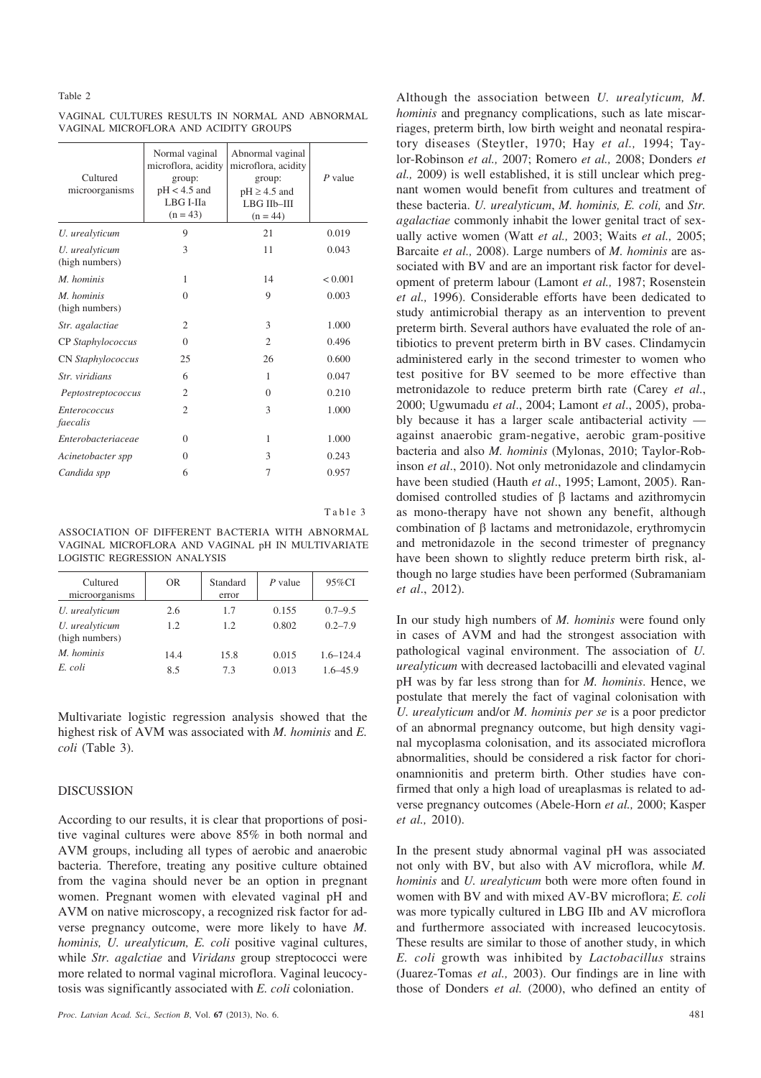#### Table 2

VAGINAL CULTURES RESULTS IN NORMAL AND ABNORMAL VAGINAL MICROFLORA AND ACIDITY GROUPS

| Cultured<br>microorganisms       | Normal vaginal<br>microflora, acidity<br>group:<br>$pH < 4.5$ and<br>LBG I-IIa<br>$(n = 43)$ | Abnormal vaginal<br>microflora, acidity<br>group:<br>$pH \geq 4.5$ and<br>LBG IIb-III<br>$(n = 44)$ | $P$ value    |
|----------------------------------|----------------------------------------------------------------------------------------------|-----------------------------------------------------------------------------------------------------|--------------|
| U. urealyticum                   | 9                                                                                            | 21                                                                                                  | 0.019        |
| U. urealyticum<br>(high numbers) | 3                                                                                            | 11                                                                                                  | 0.043        |
| M. hominis                       | 1                                                                                            | 14                                                                                                  | ${}_{0.001}$ |
| M. hominis<br>(high numbers)     | $\Omega$                                                                                     | 9                                                                                                   | 0.003        |
| Str. agalactiae                  | $\overline{2}$                                                                               | 3                                                                                                   | 1.000        |
| CP Staphylococcus                | $\Omega$                                                                                     | $\overline{2}$                                                                                      | 0.496        |
| CN Staphylococcus                | 25                                                                                           | 26                                                                                                  | 0.600        |
| Str. viridians                   | 6                                                                                            | 1                                                                                                   | 0.047        |
| Peptostreptococcus               | 2                                                                                            | $\Omega$                                                                                            | 0.210        |
| <i>Enterococcus</i><br>faecalis  | $\overline{c}$                                                                               | 3                                                                                                   | 1.000        |
| Enterobacteriaceae               | $\Omega$                                                                                     | 1                                                                                                   | 1.000        |
| Acinetobacter spp                | $\Omega$                                                                                     | 3                                                                                                   | 0.243        |
| Candida spp                      | 6                                                                                            | 7                                                                                                   | 0.957        |

Table 3

ASSOCIATION OF DIFFERENT BACTERIA WITH ABNORMAL VAGINAL MICROFLORA AND VAGINAL pH IN MULTIVARIATE LOGISTIC REGRESSION ANALYSIS

| Cultured<br>microorganisms       | OR.  | Standard<br>error | P value | $95\%$ CI     |
|----------------------------------|------|-------------------|---------|---------------|
| U. urealyticum                   | 2.6  | 1.7               | 0.155   | $0.7 - 9.5$   |
| U. urealyticum<br>(high numbers) | 1.2  | 12                | 0.802   | $0.2 - 7.9$   |
| M. hominis                       | 14.4 | 15.8              | 0.015   | $1.6 - 124.4$ |
| E coli                           | 85   | 73                | 0.013   | $16 - 459$    |

Multivariate logistic regression analysis showed that the highest risk of AVM was associated with *M. hominis* and *E. coli* (Table 3).

## DISCUSSION

According to our results, it is clear that proportions of positive vaginal cultures were above 85% in both normal and AVM groups, including all types of aerobic and anaerobic bacteria. Therefore, treating any positive culture obtained from the vagina should never be an option in pregnant women. Pregnant women with elevated vaginal pH and AVM on native microscopy, a recognized risk factor for adverse pregnancy outcome, were more likely to have *M. hominis, U. urealyticum, E. coli* positive vaginal cultures, while *Str. agalctiae* and *Viridans* group streptococci were more related to normal vaginal microflora. Vaginal leucocytosis was significantly associated with *E. coli* coloniation.

Although the association between *U. urealyticum, M. hominis* and pregnancy complications, such as late miscarriages, preterm birth, low birth weight and neonatal respiratory diseases (Steytler, 1970; Hay *et al.,* 1994; Taylor-Robinson *et al.,* 2007; Romero *et al.,* 2008; Donders *et al.,* 2009) is well established, it is still unclear which pregnant women would benefit from cultures and treatment of these bacteria. *U. urealyticum*, *M. hominis, E. coli,* and *Str. agalactiae* commonly inhabit the lower genital tract of sexually active women (Watt *et al.,* 2003; Waits *et al.,* 2005; Barcaite *et al.,* 2008). Large numbers of *M. hominis* are associated with BV and are an important risk factor for development of preterm labour (Lamont *et al.,* 1987; Rosenstein *et al.,* 1996). Considerable efforts have been dedicated to study antimicrobial therapy as an intervention to prevent preterm birth. Several authors have evaluated the role of antibiotics to prevent preterm birth in BV cases. Clindamycin administered early in the second trimester to women who test positive for BV seemed to be more effective than metronidazole to reduce preterm birth rate (Carey *et al*., 2000; Ugwumadu *et al*., 2004; Lamont *et al*., 2005), probably because it has a larger scale antibacterial activity against anaerobic gram-negative, aerobic gram-positive bacteria and also *M. hominis* (Mylonas, 2010; Taylor-Robinson *et al*., 2010). Not only metronidazole and clindamycin have been studied (Hauth *et al*., 1995; Lamont, 2005). Randomised controlled studies of  $\beta$  lactams and azithromycin as mono-therapy have not shown any benefit, although combination of  $\beta$  lactams and metronidazole, erythromycin and metronidazole in the second trimester of pregnancy have been shown to slightly reduce preterm birth risk, although no large studies have been performed (Subramaniam *et al*., 2012).

In our study high numbers of *M. hominis* were found only in cases of AVM and had the strongest association with pathological vaginal environment. The association of *U. urealyticum* with decreased lactobacilli and elevated vaginal pH was by far less strong than for *M. hominis*. Hence, we postulate that merely the fact of vaginal colonisation with *U. urealyticum* and/or *M. hominis per se* is a poor predictor of an abnormal pregnancy outcome, but high density vaginal mycoplasma colonisation, and its associated microflora abnormalities, should be considered a risk factor for chorionamnionitis and preterm birth. Other studies have confirmed that only a high load of ureaplasmas is related to adverse pregnancy outcomes (Abele-Horn *et al.,* 2000; Kasper *et al.,* 2010).

In the present study abnormal vaginal pH was associated not only with BV, but also with AV microflora, while *M. hominis* and *U. urealyticum* both were more often found in women with BV and with mixed AV-BV microflora; *E. coli* was more typically cultured in LBG IIb and AV microflora and furthermore associated with increased leucocytosis. These results are similar to those of another study, in which *E. coli* growth was inhibited by *Lactobacillus* strains (Juarez-Tomas *et al.,* 2003). Our findings are in line with those of Donders *et al.* (2000), who defined an entity of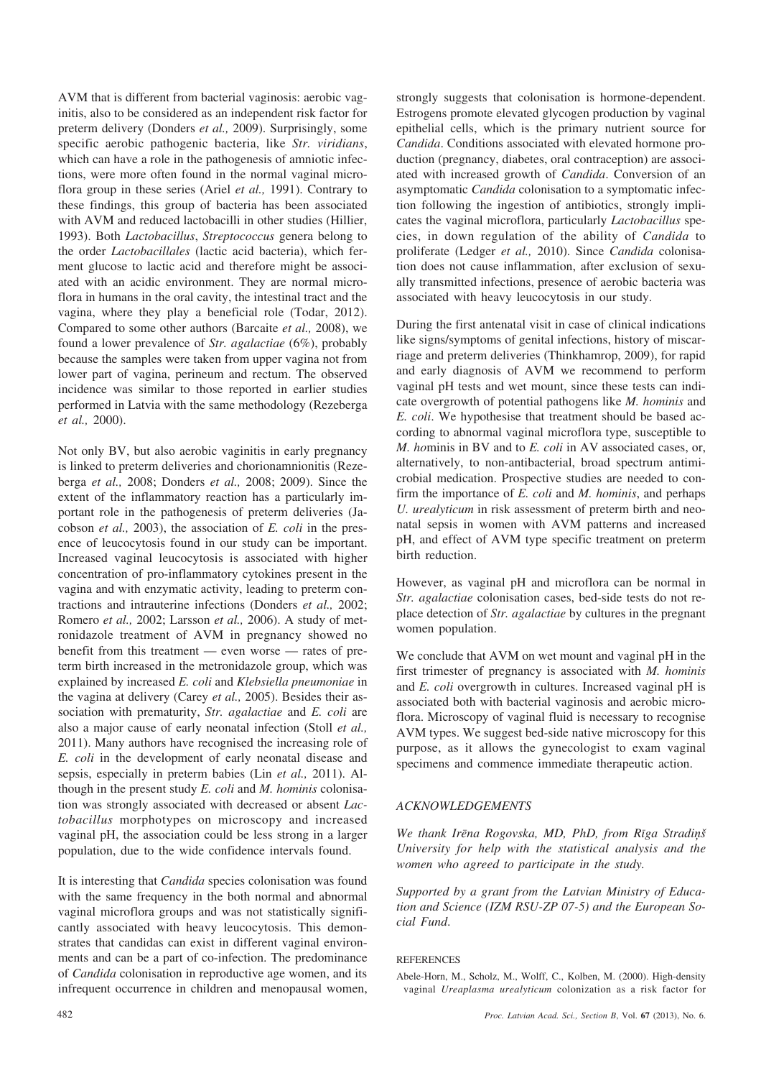AVM that is different from bacterial vaginosis: aerobic vaginitis, also to be considered as an independent risk factor for preterm delivery (Donders *et al.,* 2009). Surprisingly, some specific aerobic pathogenic bacteria, like *Str. viridians*, which can have a role in the pathogenesis of amniotic infections, were more often found in the normal vaginal microflora group in these series (Ariel *et al.,* 1991). Contrary to these findings, this group of bacteria has been associated with AVM and reduced lactobacilli in other studies (Hillier, 1993). Both *Lactobacillus*, *Streptococcus* genera belong to the order *Lactobacillales* (lactic acid bacteria), which ferment glucose to lactic acid and therefore might be associated with an acidic environment. They are normal microflora in humans in the oral cavity, the intestinal tract and the vagina, where they play a beneficial role (Todar, 2012). Compared to some other authors (Barcaite *et al.,* 2008), we found a lower prevalence of *Str. agalactiae* (6%), probably because the samples were taken from upper vagina not from lower part of vagina, perineum and rectum. The observed incidence was similar to those reported in earlier studies performed in Latvia with the same methodology (Rezeberga *et al.,* 2000).

Not only BV, but also aerobic vaginitis in early pregnancy is linked to preterm deliveries and chorionamnionitis (Rezeberga *et al.,* 2008; Donders *et al.,* 2008; 2009). Since the extent of the inflammatory reaction has a particularly important role in the pathogenesis of preterm deliveries (Jacobson *et al.,* 2003), the association of *E. coli* in the presence of leucocytosis found in our study can be important. Increased vaginal leucocytosis is associated with higher concentration of pro-inflammatory cytokines present in the vagina and with enzymatic activity, leading to preterm contractions and intrauterine infections (Donders *et al.,* 2002; Romero *et al.,* 2002; Larsson *et al.,* 2006). A study of metronidazole treatment of AVM in pregnancy showed no benefit from this treatment — even worse — rates of preterm birth increased in the metronidazole group, which was explained by increased *E. coli* and *Klebsiella pneumoniae* in the vagina at delivery (Carey *et al.,* 2005). Besides their association with prematurity, *Str. agalactiae* and *E. coli* are also a major cause of early neonatal infection (Stoll *et al.,* 2011). Many authors have recognised the increasing role of *E. coli* in the development of early neonatal disease and sepsis, especially in preterm babies (Lin *et al.,* 2011). Although in the present study *E. coli* and *M. hominis* colonisation was strongly associated with decreased or absent *Lactobacillus* morphotypes on microscopy and increased vaginal pH, the association could be less strong in a larger population, due to the wide confidence intervals found.

It is interesting that *Candida* species colonisation was found with the same frequency in the both normal and abnormal vaginal microflora groups and was not statistically significantly associated with heavy leucocytosis. This demonstrates that candidas can exist in different vaginal environments and can be a part of co-infection. The predominance of *Candida* colonisation in reproductive age women, and its infrequent occurrence in children and menopausal women, strongly suggests that colonisation is hormone-dependent. Estrogens promote elevated glycogen production by vaginal epithelial cells, which is the primary nutrient source for *Candida*. Conditions associated with elevated hormone production (pregnancy, diabetes, oral contraception) are associated with increased growth of *Candida*. Conversion of an asymptomatic *Candida* colonisation to a symptomatic infection following the ingestion of antibiotics, strongly implicates the vaginal microflora, particularly *Lactobacillus* species, in down regulation of the ability of *Candida* to proliferate (Ledger *et al.,* 2010). Since *Candida* colonisation does not cause inflammation, after exclusion of sexually transmitted infections, presence of aerobic bacteria was associated with heavy leucocytosis in our study.

During the first antenatal visit in case of clinical indications like signs/symptoms of genital infections, history of miscarriage and preterm deliveries (Thinkhamrop, 2009), for rapid and early diagnosis of AVM we recommend to perform vaginal pH tests and wet mount, since these tests can indicate overgrowth of potential pathogens like *M. hominis* and *E. coli*. We hypothesise that treatment should be based according to abnormal vaginal microflora type, susceptible to *M. ho*minis in BV and to *E. coli* in AV associated cases, or, alternatively, to non-antibacterial, broad spectrum antimicrobial medication. Prospective studies are needed to confirm the importance of *E. coli* and *M. hominis*, and perhaps *U. urealyticum* in risk assessment of preterm birth and neonatal sepsis in women with AVM patterns and increased pH, and effect of AVM type specific treatment on preterm birth reduction.

However, as vaginal pH and microflora can be normal in *Str. agalactiae* colonisation cases, bed-side tests do not replace detection of *Str. agalactiae* by cultures in the pregnant women population.

We conclude that AVM on wet mount and vaginal pH in the first trimester of pregnancy is associated with *M. hominis* and *E. coli* overgrowth in cultures. Increased vaginal pH is associated both with bacterial vaginosis and aerobic microflora. Microscopy of vaginal fluid is necessary to recognise AVM types. We suggest bed-side native microscopy for this purpose, as it allows the gynecologist to exam vaginal specimens and commence immediate therapeutic action.

# *ACKNOWLEDGEMENTS*

*We thank Irçna Rogovska, MD, PhD, from Rîga Stradiòð University for help with the statistical analysis and the women who agreed to participate in the study.*

*Supported by a grant from the Latvian Ministry of Education and Science (IZM RSU-ZP 07-5) and the European Social Fund*.

### **REFERENCES**

Abele-Horn, M., Scholz, M., Wolff, C., Kolben, M. (2000). High-density vaginal *Ureaplasma urealyticum* colonization as a risk factor for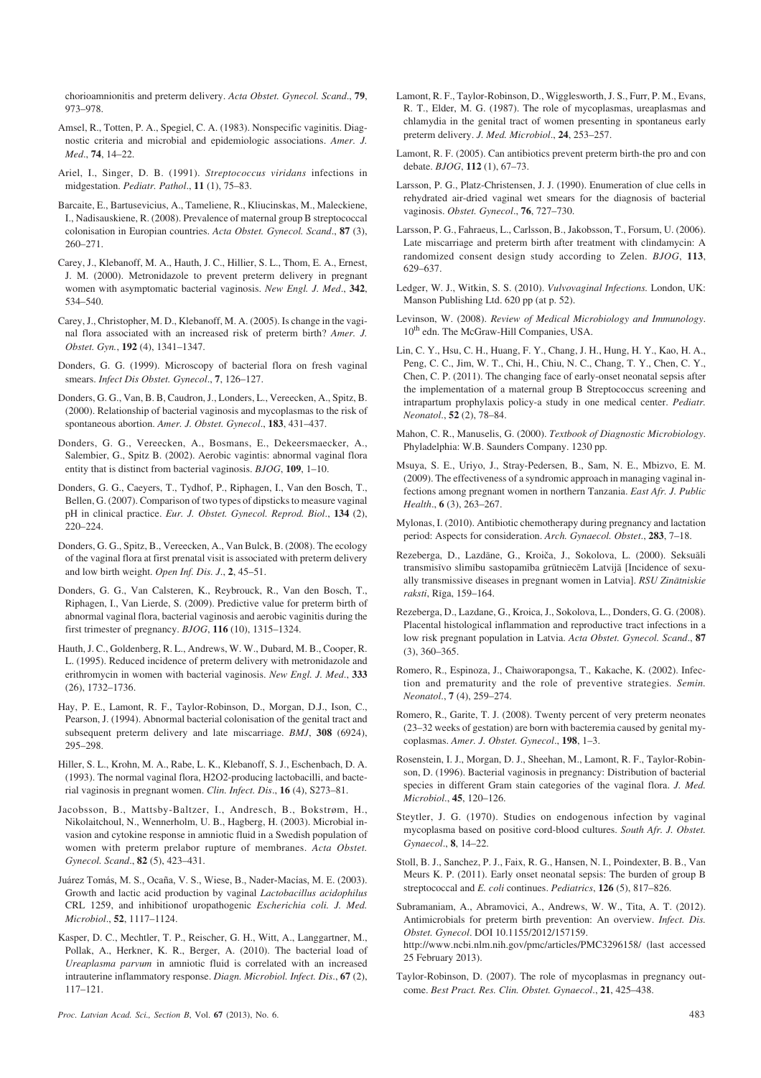chorioamnionitis and preterm delivery. *Acta Obstet. Gynecol. Scand*., **79**, 973–978.

Amsel, R., Totten, P. A., Spegiel, C. A. (1983). Nonspecific vaginitis. Diagnostic criteria and microbial and epidemiologic associations. *Amer. J. Med*., **74**, 14–22.

Ariel, I., Singer, D. B. (1991). *Streptococcus viridans* infections in midgestation. *Pediatr. Pathol*., **11** (1), 75–83.

Barcaite, E., Bartusevicius, A., Tameliene, R., Kliucinskas, M., Maleckiene, I., Nadisauskiene, R. (2008). Prevalence of maternal group B streptococcal colonisation in Europian countries. *Acta Obstet. Gynecol. Scand*., **87** (3), 260–271.

Carey, J., Klebanoff, M. A., Hauth, J. C., Hillier, S. L., Thom, E. A., Ernest, J. M. (2000). Metronidazole to prevent preterm delivery in pregnant women with asymptomatic bacterial vaginosis. *New Engl. J. Med*., **342**, 534–540.

Carey, J., Christopher, M. D., Klebanoff, M. A. (2005). Is change in the vaginal flora associated with an increased risk of preterm birth? *Amer. J. Obstet. Gyn.*, **192** (4), 1341–1347.

Donders, G. G. (1999). Microscopy of bacterial flora on fresh vaginal smears. *Infect Dis Obstet. Gynecol*., **7**, 126–127.

Donders, G. G., Van, B. B, Caudron, J., Londers, L., Vereecken, A., Spitz, B. (2000). Relationship of bacterial vaginosis and mycoplasmas to the risk of spontaneous abortion. *Amer. J. Obstet. Gynecol*., **183**, 431–437.

Donders, G. G., Vereecken, A., Bosmans, E., Dekeersmaecker, A., Salembier, G., Spitz B. (2002). Aerobic vagintis: abnormal vaginal flora entity that is distinct from bacterial vaginosis. *BJOG*, **109**, 1–10.

Donders, G. G., Caeyers, T., Tydhof, P., Riphagen, I., Van den Bosch, T., Bellen, G. (2007). Comparison of two types of dipsticks to measure vaginal pH in clinical practice. *Eur. J. Obstet. Gynecol. Reprod. Biol*., **134** (2), 220–224.

Donders, G. G., Spitz, B., Vereecken, A., Van Bulck, B. (2008). The ecology of the vaginal flora at first prenatal visit is associated with preterm delivery and low birth weight. *Open Inf. Dis. J*., **2**, 45–51.

Donders, G. G., Van Calsteren, K., Reybrouck, R., Van den Bosch, T., Riphagen, I., Van Lierde, S. (2009). Predictive value for preterm birth of abnormal vaginal flora, bacterial vaginosis and aerobic vaginitis during the first trimester of pregnancy. *BJOG*, **116** (10), 1315–1324.

Hauth, J. C., Goldenberg, R. L., Andrews, W. W., Dubard, M. B., Cooper, R. L. (1995). Reduced incidence of preterm delivery with metronidazole and erithromycin in women with bacterial vaginosis. *New Engl. J. Med*., **333** (26), 1732–1736.

Hay, P. E., Lamont, R. F., Taylor-Robinson, D., Morgan, D.J., Ison, C., Pearson, J. (1994). Abnormal bacterial colonisation of the genital tract and subsequent preterm delivery and late miscarriage. *BMJ*, **308** (6924), 295–298.

Hiller, S. L., Krohn, M. A., Rabe, L. K., Klebanoff, S. J., Eschenbach, D. A. (1993). The normal vaginal flora, H2O2-producing lactobacilli, and bacterial vaginosis in pregnant women. *Clin. Infect. Dis*., **16** (4), S273–81.

Jacobsson, B., Mattsby-Baltzer, I., Andresch, B., Bokstrøm, H., Nikolaitchoul, N., Wennerholm, U. B., Hagberg, H. (2003). Microbial invasion and cytokine response in amniotic fluid in a Swedish population of women with preterm prelabor rupture of membranes. *Acta Obstet. Gynecol. Scand*., **82** (5), 423–431.

Juárez Tomás, M. S., Ocaña, V. S., Wiese, B., Nader-Macías, M. E. (2003). Growth and lactic acid production by vaginal *Lactobacillus acidophilus* CRL 1259, and inhibitionof uropathogenic *Escherichia coli. J. Med. Microbiol*., **52**, 1117–1124.

Kasper, D. C., Mechtler, T. P., Reischer, G. H., Witt, A., Langgartner, M., Pollak, A., Herkner, K. R., Berger, A. (2010). The bacterial load of *Ureaplasma parvum* in amniotic fluid is correlated with an increased intrauterine inflammatory response. *Diagn. Microbiol. Infect. Dis*., **67** (2), 117–121.

*Proc. Latvian Acad. Sci., Section B*, Vol. **67** (2013), No. 6. 483

Lamont, R. F., Taylor-Robinson, D., Wigglesworth, J. S., Furr, P. M., Evans, R. T., Elder, M. G. (1987). The role of mycoplasmas, ureaplasmas and chlamydia in the genital tract of women presenting in spontaneus early preterm delivery. *J. Med. Microbiol*., **24**, 253–257.

- Lamont, R. F. (2005). Can antibiotics prevent preterm birth-the pro and con debate. *BJOG*, **112** (1), 67–73.
- Larsson, P. G., Platz-Christensen, J. J. (1990). Enumeration of clue cells in rehydrated air-dried vaginal wet smears for the diagnosis of bacterial vaginosis. *Obstet. Gynecol*., **76**, 727–730.
- Larsson, P. G., Fahraeus, L., Carlsson, B., Jakobsson, T., Forsum, U. (2006). Late miscarriage and preterm birth after treatment with clindamycin: A randomized consent design study according to Zelen. *BJOG*, **113**, 629–637.
- Ledger, W. J., Witkin, S. S. (2010). *Vulvovaginal Infections.* London, UK: Manson Publishing Ltd. 620 pp (at p. 52).
- Levinson, W. (2008). *Review of Medical Microbiology and Immunology*. 10<sup>th</sup> edn. The McGraw-Hill Companies, USA.
- Lin, C. Y., Hsu, C. H., Huang, F. Y., Chang, J. H., Hung, H. Y., Kao, H. A., Peng, C. C., Jim, W. T., Chi, H., Chiu, N. C., Chang, T. Y., Chen, C. Y., Chen, C. P. (2011). The changing face of early-onset neonatal sepsis after the implementation of a maternal group B Streptococcus screening and intrapartum prophylaxis policy-a study in one medical center. *Pediatr. Neonatol*., **52** (2), 78–84.
- Mahon, C. R., Manuselis, G. (2000). *Textbook of Diagnostic Microbiology*. Phyladelphia: W.B. Saunders Company. 1230 pp.
- Msuya, S. E., Uriyo, J., Stray-Pedersen, B., Sam, N. E., Mbizvo, E. M. (2009). The effectiveness of a syndromic approach in managing vaginal infections among pregnant women in northern Tanzania. *East Afr. J. Public Health*., **6** (3), 263–267.
- Mylonas, I. (2010). Antibiotic chemotherapy during pregnancy and lactation period: Aspects for consideration. *Arch. Gynaecol. Obstet*., **283**, 7–18.
- Rezeberga, D., Lazdâne, G., Kroièa, J., Sokolova, L. (2000). Seksuâli transmisîvo slimîbu sastopamîba grûtniecçm Latvijâ [Incidence of sexually transmissive diseases in pregnant women in Latvia]. *RSU Zinâtniskie raksti*, Rîga, 159–164.
- Rezeberga, D., Lazdane, G., Kroica, J., Sokolova, L., Donders, G. G. (2008). Placental histological inflammation and reproductive tract infections in a low risk pregnant population in Latvia. *Acta Obstet. Gynecol. Scand*., **87** (3), 360–365.
- Romero, R., Espinoza, J., Chaiworapongsa, T., Kakache, K. (2002). Infection and prematurity and the role of preventive strategies. *Semin. Neonatol*., **7** (4), 259–274.
- Romero, R., Garite, T. J. (2008). Twenty percent of very preterm neonates (23–32 weeks of gestation) are born with bacteremia caused by genital mycoplasmas. *Amer. J. Obstet. Gynecol*., **198**, 1–3.
- Rosenstein, I. J., Morgan, D. J., Sheehan, M., Lamont, R. F., Taylor-Robinson, D. (1996). Bacterial vaginosis in pregnancy: Distribution of bacterial species in different Gram stain categories of the vaginal flora. *J. Med. Microbiol*., **45**, 120–126.
- Steytler, J. G. (1970). Studies on endogenous infection by vaginal mycoplasma based on positive cord-blood cultures. *South Afr. J. Obstet. Gynaecol*., **8**, 14–22.
- Stoll, B. J., Sanchez, P. J., Faix, R. G., Hansen, N. I., Poindexter, B. B., Van Meurs K. P. (2011). Early onset neonatal sepsis: The burden of group B streptococcal and *E. coli* continues. *Pediatrics*, **126** (5), 817–826.

Subramaniam, A., Abramovici, A., Andrews, W. W., Tita, A. T. (2012). Antimicrobials for preterm birth prevention: An overview. *Infect. Dis. Obstet. Gynecol*. DOI 10.1155/2012/157159.

http://www.ncbi.nlm.nih.gov/pmc/articles/PMC3296158/ (last accessed 25 February 2013).

Taylor-Robinson, D. (2007). The role of mycoplasmas in pregnancy outcome. *Best Pract. Res. Clin. Obstet. Gynaecol*., **21**, 425–438.